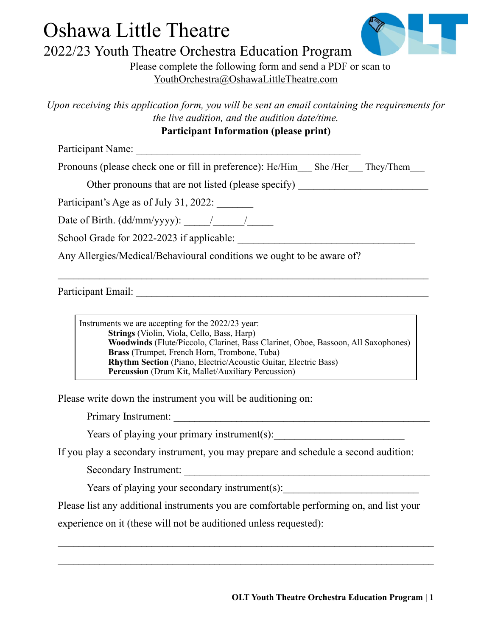## Oshawa Little Theatre 2022/23 Youth Theatre Orchestra Education Program



Please complete the following form and send a PDF or scan to [YouthOrchestra@OshawaLittleTheatre.com](mailto:YouthOrchestra@OshawaLittleTheatre.com)

*Upon receiving this application form, you will be sent an email containing the requirements for the live audition, and the audition date/time.* 

## **Participant Information (please print)**

Participant Name:

Pronouns (please check one or fill in preference): He/Him She /Her They/Them

Other pronouns that are not listed (please specify)

Participant's Age as of July 31, 2022:

Date of Birth.  $(dd/mm/yyyy)$ :  $\qquad /$ 

School Grade for  $2022-2023$  if applicable:

Any Allergies/Medical/Behavioural conditions we ought to be aware of?

Participant Email: \_\_\_\_\_\_\_\_\_\_\_\_\_\_\_\_\_\_\_\_\_\_\_\_\_\_\_\_\_\_\_\_\_\_\_\_\_\_\_\_\_\_\_\_\_\_\_\_\_\_\_\_\_\_\_\_

Instruments we are accepting for the 2022/23 year: **Strings** (Violin, Viola, Cello, Bass, Harp) **Woodwinds** (Flute/Piccolo, Clarinet, Bass Clarinet, Oboe, Bassoon, All Saxophones) **Brass** (Trumpet, French Horn, Trombone, Tuba) **Rhythm Section** (Piano, Electric/Acoustic Guitar, Electric Bass) **Percussion** (Drum Kit, Mallet/Auxiliary Percussion)

 $\mathcal{L}_\text{max} = \mathcal{L}_\text{max} = \mathcal{L}_\text{max} = \mathcal{L}_\text{max} = \mathcal{L}_\text{max} = \mathcal{L}_\text{max} = \mathcal{L}_\text{max} = \mathcal{L}_\text{max} = \mathcal{L}_\text{max} = \mathcal{L}_\text{max} = \mathcal{L}_\text{max} = \mathcal{L}_\text{max} = \mathcal{L}_\text{max} = \mathcal{L}_\text{max} = \mathcal{L}_\text{max} = \mathcal{L}_\text{max} = \mathcal{L}_\text{max} = \mathcal{L}_\text{max} = \mathcal{$ 

Please write down the instrument you will be auditioning on:

Primary Instrument: \_\_\_\_\_\_\_\_\_\_\_\_\_\_\_\_\_\_\_\_\_\_\_\_\_\_\_\_\_\_\_\_\_\_\_\_\_\_\_\_\_\_\_\_\_\_\_\_\_

Years of playing your primary instrument(s):

If you play a secondary instrument, you may prepare and schedule a second audition:

Secondary Instrument:

Years of playing your secondary instrument(s):

Please list any additional instruments you are comfortable performing on, and list your

experience on it (these will not be auditioned unless requested):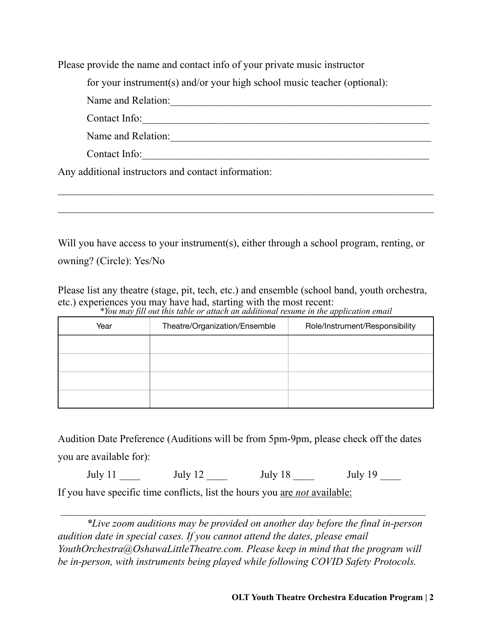Please provide the name and contact info of your private music instructor

for your instrument(s) and/or your high school music teacher (optional):

Name and Relation:\_\_\_\_\_\_\_\_\_\_\_\_\_\_\_\_\_\_\_\_\_\_\_\_\_\_\_\_\_\_\_\_\_\_\_\_\_\_\_\_\_\_\_\_\_\_\_\_\_\_

Contact Info:

Name and Relation:\_\_\_\_\_\_\_\_\_\_\_\_\_\_\_\_\_\_\_\_\_\_\_\_\_\_\_\_\_\_\_\_\_\_\_\_\_\_\_\_\_\_\_\_\_\_\_\_\_\_

Contact Info:\_\_\_\_\_\_\_\_\_\_\_\_\_\_\_\_\_\_\_\_\_\_\_\_\_\_\_\_\_\_\_\_\_\_\_\_\_\_\_\_\_\_\_\_\_\_\_\_\_\_\_\_\_\_\_

Any additional instructors and contact information:

Will you have access to your instrument(s), either through a school program, renting, or owning? (Circle): Yes/No

 $\mathcal{L}_\text{max} = \mathcal{L}_\text{max} = \mathcal{L}_\text{max} = \mathcal{L}_\text{max} = \mathcal{L}_\text{max} = \mathcal{L}_\text{max} = \mathcal{L}_\text{max} = \mathcal{L}_\text{max} = \mathcal{L}_\text{max} = \mathcal{L}_\text{max} = \mathcal{L}_\text{max} = \mathcal{L}_\text{max} = \mathcal{L}_\text{max} = \mathcal{L}_\text{max} = \mathcal{L}_\text{max} = \mathcal{L}_\text{max} = \mathcal{L}_\text{max} = \mathcal{L}_\text{max} = \mathcal{$ 

Please list any theatre (stage, pit, tech, etc.) and ensemble (school band, youth orchestra, etc.) experiences you may have had, starting with the most recent:

| Year | Theatre/Organization/Ensemble | Role/Instrument/Responsibility |
|------|-------------------------------|--------------------------------|
|      |                               |                                |
|      |                               |                                |
|      |                               |                                |
|      |                               |                                |

*\*You may fill out this table or attach an additional resume in the application email*

Audition Date Preference (Auditions will be from 5pm-9pm, please check off the dates you are available for):

July 11 \_\_\_\_ July 12 \_\_\_\_ July 18 \_\_\_ July 19 \_\_\_ If you have specific time conflicts, list the hours you are *not* available:

*\*Live zoom auditions may be provided on another day before the final in-person audition date in special cases. If you cannot attend the dates, please email YouthOrchestra@OshawaLittleTheatre.com. Please keep in mind that the program will be in-person, with instruments being played while following COVID Safety Protocols.*